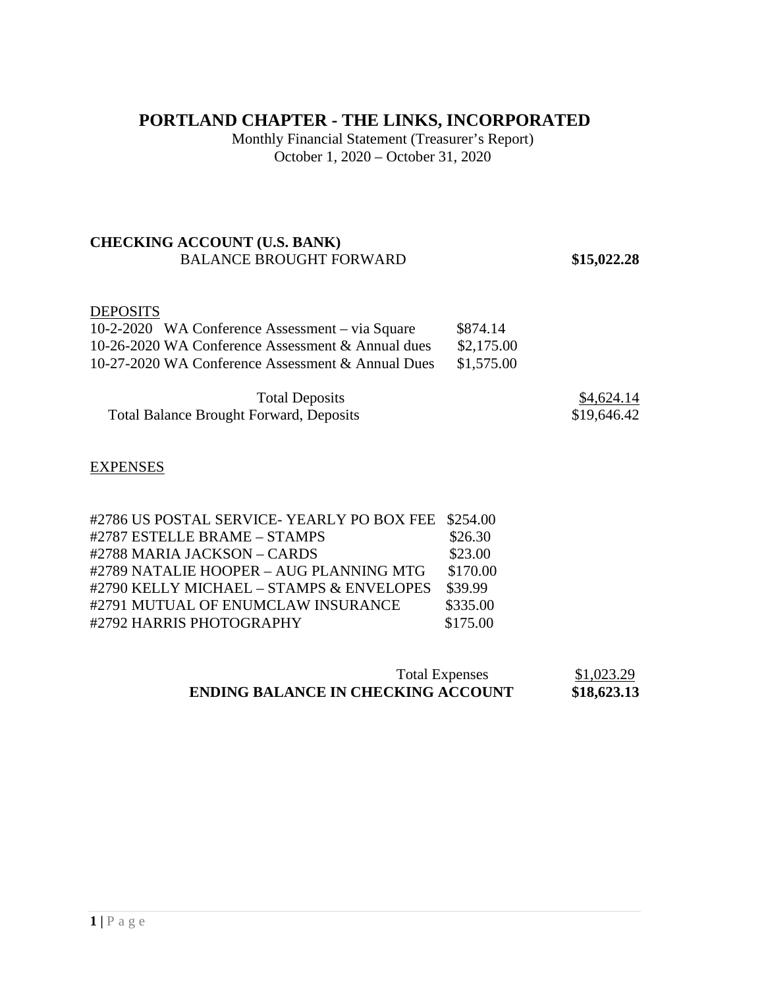# **PORTLAND CHAPTER - THE LINKS, INCORPORATED**

Monthly Financial Statement (Treasurer's Report) October 1, 2020 – October 31, 2020

## **CHECKING ACCOUNT (U.S. BANK)**  BALANCE BROUGHT FORWARD **\$15,022.28**

# DEPOSITS

| 10-2-2020 WA Conference Assessment – via Square   | \$874.14   |
|---------------------------------------------------|------------|
| 10-26-2020 WA Conference Assessment & Annual dues | \$2,175.00 |
| 10-27-2020 WA Conference Assessment & Annual Dues | \$1,575.00 |

| <b>Total Deposits</b>                          | \$4,624.14  |
|------------------------------------------------|-------------|
| <b>Total Balance Brought Forward, Deposits</b> | \$19,646.42 |

#### **EXPENSES**

| #2786 US POSTAL SERVICE-YEARLY PO BOX FEE \$254.00 |          |
|----------------------------------------------------|----------|
| #2787 ESTELLE BRAME - STAMPS                       | \$26.30  |
| #2788 MARIA JACKSON - CARDS                        | \$23.00  |
| #2789 NATALIE HOOPER - AUG PLANNING MTG            | \$170.00 |
| #2790 KELLY MICHAEL - STAMPS & ENVELOPES           | \$39.99  |
| #2791 MUTUAL OF ENUMCLAW INSURANCE                 | \$335.00 |
| #2792 HARRIS PHOTOGRAPHY                           | \$175.00 |

| <b>Total Expenses</b>                     | \$1,023.29  |
|-------------------------------------------|-------------|
| <b>ENDING BALANCE IN CHECKING ACCOUNT</b> | \$18,623.13 |